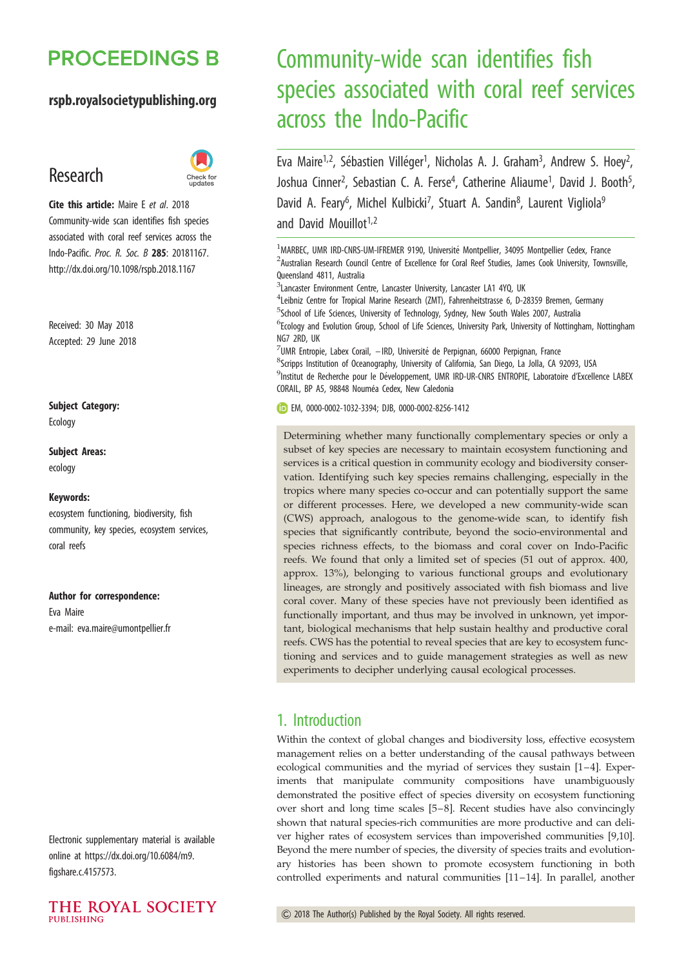# **PROCEEDINGS B**

### rspb.royalsocietypublishing.org

# Research



Cite this article: Maire E et al. 2018 Community-wide scan identifies fish species associated with coral reef services across the Indo-Pacific. Proc. R. Soc. B 285: 20181167. http://dx.doi.org/10.1098/rspb.2018.1167

Received: 30 May 2018 Accepted: 29 June 2018

Subject Category:

Ecology

Subject Areas:

ecology

### Keywords:

ecosystem functioning, biodiversity, fish community, key species, ecosystem services, coral reefs

#### Author for correspondence:

Eva Maire e-mail: [eva.maire@umontpellier.fr](mailto:eva.maire@umontpellier.fr)

Electronic supplementary material is available online at [https://dx.doi.org/10.6084/m9.](https://dx.doi.org/10.6084/m9.figshare.c.4157573) [figshare.c.4157573](https://dx.doi.org/10.6084/m9.figshare.c.4157573).

THE ROYAL SOCIETY **PUBLISHING** 

# Community-wide scan identifies fish species associated with coral reef services across the Indo-Pacific

Eva Maire<sup>1,2</sup>, Sébastien Villéger<sup>1</sup>, Nicholas A. J. Graham<sup>3</sup>, Andrew S. Hoey<sup>2</sup> .<br>ו Joshua Cinner<sup>2</sup>, Sebastian C. A. Ferse<sup>4</sup>, Catherine Aliaume<sup>1</sup>, David J. Booth<sup>5</sup> , David A. Feary<sup>6</sup>, Michel Kulbicki<sup>7</sup>, Stuart A. Sandin<sup>8</sup>, Laurent Vigliola<sup>9</sup> and David Mouillot<sup>1,2</sup>

<sup>1</sup>MARBEC, UMR IRD-CNRS-UM-IFREMER 9190, Université Montpellier, 34095 Montpellier Cedex, France <sup>2</sup> Australian Research Council Centre of Excellence for Coral Reef Studies, James Cook University, Townsville, Queensland 4811, Australia

<sup>3</sup>Lancaster Environment Centre, Lancaster University, Lancaster LA1 4YQ, UK

<sup>4</sup>Leibniz Centre for Tropical Marine Research (ZMT), Fahrenheitstrasse 6, D-28359 Bremen, Germany <sup>5</sup>School of Life Sciences, University of Technology, Sydney, New South Wales 2007, Australia 6 Ecology and Evolution Group, School of Life Sciences, University Park, University of Nottingham, Nottingham NG7 2RD, UK

 $7$ UMR Entropie, Labex Corail,  $-$ IRD, Université de Perpignan, 66000 Perpignan, France 8 Scripps Institution of Oceanography, University of California, San Diego, La Jolla, CA 92093, USA <sup>9</sup>Institut de Recherche pour le Développement, UMR IRD-UR-CNRS ENTROPIE, Laboratoire d'Excellence LABEX CORAIL, BP A5, 98848 Nouméa Cedex, New Caledonia

EM, [0000-0002-1032-3394;](http://orcid.org/0000-0002-1032-3394) DJB, [0000-0002-8256-1412](http://orcid.org/0000-0002-8256-1412)

Determining whether many functionally complementary species or only a subset of key species are necessary to maintain ecosystem functioning and services is a critical question in community ecology and biodiversity conservation. Identifying such key species remains challenging, especially in the tropics where many species co-occur and can potentially support the same or different processes. Here, we developed a new community-wide scan (CWS) approach, analogous to the genome-wide scan, to identify fish species that significantly contribute, beyond the socio-environmental and species richness effects, to the biomass and coral cover on Indo-Pacific reefs. We found that only a limited set of species (51 out of approx. 400, approx. 13%), belonging to various functional groups and evolutionary lineages, are strongly and positively associated with fish biomass and live coral cover. Many of these species have not previously been identified as functionally important, and thus may be involved in unknown, yet important, biological mechanisms that help sustain healthy and productive coral reefs. CWS has the potential to reveal species that are key to ecosystem functioning and services and to guide management strategies as well as new experiments to decipher underlying causal ecological processes.

# 1. Introduction

Within the context of global changes and biodiversity loss, effective ecosystem management relies on a better understanding of the causal pathways between ecological communities and the myriad of services they sustain [\[1](#page-7-0)–[4](#page-7-0)]. Experiments that manipulate community compositions have unambiguously demonstrated the positive effect of species diversity on ecosystem functioning over short and long time scales [\[5](#page-7-0)–[8](#page-7-0)]. Recent studies have also convincingly shown that natural species-rich communities are more productive and can deliver higher rates of ecosystem services than impoverished communities [\[9,10\]](#page-7-0). Beyond the mere number of species, the diversity of species traits and evolutionary histories has been shown to promote ecosystem functioning in both controlled experiments and natural communities [[11](#page-7-0)–[14\]](#page-7-0). In parallel, another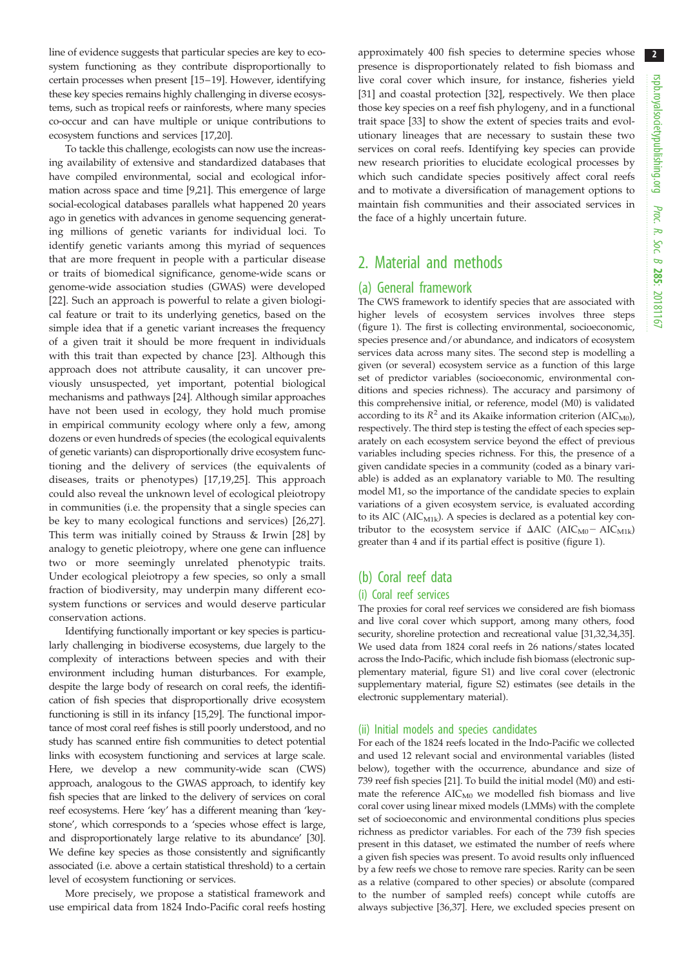line of evidence suggests that particular species are key to ecosystem functioning as they contribute disproportionally to certain processes when present [\[15](#page-7-0)–[19\]](#page-7-0). However, identifying these key species remains highly challenging in diverse ecosystems, such as tropical reefs or rainforests, where many species co-occur and can have multiple or unique contributions to ecosystem functions and services [[17,20\]](#page-7-0).

To tackle this challenge, ecologists can now use the increasing availability of extensive and standardized databases that have compiled environmental, social and ecological information across space and time [\[9,21\]](#page-7-0). This emergence of large social-ecological databases parallels what happened 20 years ago in genetics with advances in genome sequencing generating millions of genetic variants for individual loci. To identify genetic variants among this myriad of sequences that are more frequent in people with a particular disease or traits of biomedical significance, genome-wide scans or genome-wide association studies (GWAS) were developed [\[22\]](#page-7-0). Such an approach is powerful to relate a given biological feature or trait to its underlying genetics, based on the simple idea that if a genetic variant increases the frequency of a given trait it should be more frequent in individuals with this trait than expected by chance [[23\]](#page-7-0). Although this approach does not attribute causality, it can uncover previously unsuspected, yet important, potential biological mechanisms and pathways [[24](#page-8-0)]. Although similar approaches have not been used in ecology, they hold much promise in empirical community ecology where only a few, among dozens or even hundreds of species (the ecological equivalents of genetic variants) can disproportionally drive ecosystem functioning and the delivery of services (the equivalents of diseases, traits or phenotypes) [[17,19](#page-7-0),[25\]](#page-8-0). This approach could also reveal the unknown level of ecological pleiotropy in communities (i.e. the propensity that a single species can be key to many ecological functions and services) [[26,27](#page-8-0)]. This term was initially coined by Strauss & Irwin [\[28\]](#page-8-0) by analogy to genetic pleiotropy, where one gene can influence two or more seemingly unrelated phenotypic traits. Under ecological pleiotropy a few species, so only a small fraction of biodiversity, may underpin many different ecosystem functions or services and would deserve particular conservation actions.

Identifying functionally important or key species is particularly challenging in biodiverse ecosystems, due largely to the complexity of interactions between species and with their environment including human disturbances. For example, despite the large body of research on coral reefs, the identification of fish species that disproportionally drive ecosystem functioning is still in its infancy [\[15,](#page-7-0)[29](#page-8-0)]. The functional importance of most coral reef fishes is still poorly understood, and no study has scanned entire fish communities to detect potential links with ecosystem functioning and services at large scale. Here, we develop a new community-wide scan (CWS) approach, analogous to the GWAS approach, to identify key fish species that are linked to the delivery of services on coral reef ecosystems. Here 'key' has a different meaning than 'keystone', which corresponds to a 'species whose effect is large, and disproportionately large relative to its abundance' [[30](#page-8-0)]. We define key species as those consistently and significantly associated (i.e. above a certain statistical threshold) to a certain level of ecosystem functioning or services.

More precisely, we propose a statistical framework and use empirical data from 1824 Indo-Pacific coral reefs hosting approximately 400 fish species to determine species whose presence is disproportionately related to fish biomass and live coral cover which insure, for instance, fisheries yield [[31\]](#page-8-0) and coastal protection [\[32](#page-8-0)], respectively. We then place those key species on a reef fish phylogeny, and in a functional trait space [[33\]](#page-8-0) to show the extent of species traits and evolutionary lineages that are necessary to sustain these two services on coral reefs. Identifying key species can provide new research priorities to elucidate ecological processes by which such candidate species positively affect coral reefs and to motivate a diversification of management options to maintain fish communities and their associated services in the face of a highly uncertain future.

# 2. Material and methods

### (a) General framework

The CWS framework to identify species that are associated with higher levels of ecosystem services involves three steps ([figure 1\)](#page-2-0). The first is collecting environmental, socioeconomic, species presence and/or abundance, and indicators of ecosystem services data across many sites. The second step is modelling a given (or several) ecosystem service as a function of this large set of predictor variables (socioeconomic, environmental conditions and species richness). The accuracy and parsimony of this comprehensive initial, or reference, model (M0) is validated according to its  $R^2$  and its Akaike information criterion (AIC<sub>M0</sub>), respectively. The third step is testing the effect of each species separately on each ecosystem service beyond the effect of previous variables including species richness. For this, the presence of a given candidate species in a community (coded as a binary variable) is added as an explanatory variable to M0. The resulting model M1, so the importance of the candidate species to explain variations of a given ecosystem service, is evaluated according to its AIC ( $AIC<sub>M1k</sub>$ ). A species is declared as a potential key contributor to the ecosystem service if  $\Delta AIC$  (AIC<sub>M0</sub>  $\Delta AIC$ <sub>M1k</sub>) greater than 4 and if its partial effect is positive ([figure 1\)](#page-2-0).

### (b) Coral reef data

#### (i) Coral reef services

The proxies for coral reef services we considered are fish biomass and live coral cover which support, among many others, food security, shoreline protection and recreational value [[31,32,34,35\]](#page-8-0). We used data from 1824 coral reefs in 26 nations/states located across the Indo-Pacific, which include fish biomass (electronic supplementary material, figure S1) and live coral cover (electronic supplementary material, figure S2) estimates (see details in the electronic supplementary material).

#### (ii) Initial models and species candidates

For each of the 1824 reefs located in the Indo-Pacific we collected and used 12 relevant social and environmental variables (listed below), together with the occurrence, abundance and size of 739 reef fish species [\[21\]](#page-7-0). To build the initial model (M0) and estimate the reference  $AIC_{M0}$  we modelled fish biomass and live coral cover using linear mixed models (LMMs) with the complete set of socioeconomic and environmental conditions plus species richness as predictor variables. For each of the 739 fish species present in this dataset, we estimated the number of reefs where a given fish species was present. To avoid results only influenced by a few reefs we chose to remove rare species. Rarity can be seen as a relative (compared to other species) or absolute (compared to the number of sampled reefs) concept while cutoffs are always subjective [[36](#page-8-0),[37](#page-8-0)]. Here, we excluded species present on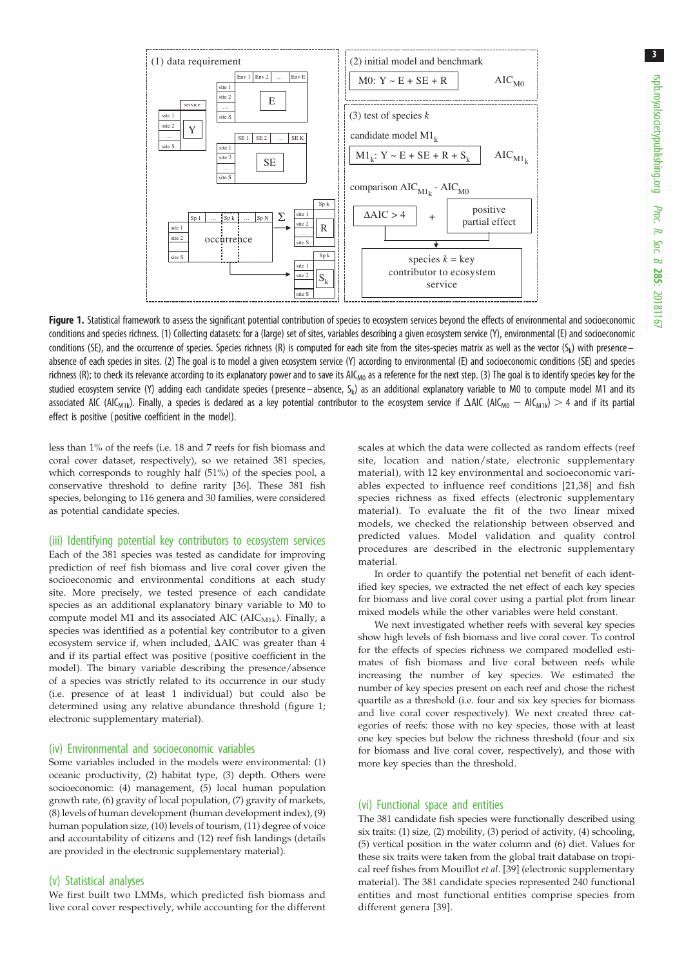<span id="page-2-0"></span>

Figure 1. Statistical framework to assess the significant potential contribution of species to ecosystem services beyond the effects of environmental and socioeconomic conditions and species richness. (1) Collecting datasets: for a (large) set of sites, variables describing a given ecosystem service (Y), environmental (E) and socioeconomic conditions (SE), and the occurrence of species. Species richness (R) is computed for each site from the sites-species matrix as well as the vector  $(S_k)$  with presence – absence of each species in sites. (2) The goal is to model a given ecosystem service (Y) according to environmental (E) and socioeconomic conditions (SE) and species richness (R); to check its relevance according to its explanatory power and to save its  $AIC_{MO}$  as a reference for the next step. (3) The goal is to identify species key for the studied ecosystem service (Y) adding each candidate species (presence – absence,  $S_k$ ) as an additional explanatory variable to M0 to compute model M1 and its associated AIC (AIC<sub>M1k</sub>). Finally, a species is declared as a key potential contributor to the ecosystem service if  $\Delta$ AIC (AIC<sub>M0</sub> - AIC<sub>M1k</sub>) > 4 and if its partial effect is positive ( positive coefficient in the model).

less than 1% of the reefs (i.e. 18 and 7 reefs for fish biomass and coral cover dataset, respectively), so we retained 381 species, which corresponds to roughly half (51%) of the species pool, a conservative threshold to define rarity [[36](#page-8-0)]. These 381 fish species, belonging to 116 genera and 30 families, were considered as potential candidate species.

#### (iii) Identifying potential key contributors to ecosystem services

Each of the 381 species was tested as candidate for improving prediction of reef fish biomass and live coral cover given the socioeconomic and environmental conditions at each study site. More precisely, we tested presence of each candidate species as an additional explanatory binary variable to M0 to compute model M1 and its associated AIC ( $AIC_{M1k}$ ). Finally, a species was identified as a potential key contributor to a given ecosystem service if, when included,  $\Delta AIC$  was greater than 4 and if its partial effect was positive (positive coefficient in the model). The binary variable describing the presence/absence of a species was strictly related to its occurrence in our study (i.e. presence of at least 1 individual) but could also be determined using any relative abundance threshold (figure 1; electronic supplementary material).

#### (iv) Environmental and socioeconomic variables

Some variables included in the models were environmental: (1) oceanic productivity, (2) habitat type, (3) depth. Others were socioeconomic: (4) management, (5) local human population growth rate, (6) gravity of local population, (7) gravity of markets, (8) levels of human development (human development index), (9) human population size, (10) levels of tourism, (11) degree of voice and accountability of citizens and (12) reef fish landings (details are provided in the electronic supplementary material).

#### (v) Statistical analyses

We first built two LMMs, which predicted fish biomass and live coral cover respectively, while accounting for the different scales at which the data were collected as random effects (reef site, location and nation/state, electronic supplementary material), with 12 key environmental and socioeconomic variables expected to influence reef conditions [\[21](#page-7-0),[38\]](#page-8-0) and fish species richness as fixed effects (electronic supplementary material). To evaluate the fit of the two linear mixed models, we checked the relationship between observed and predicted values. Model validation and quality control procedures are described in the electronic supplementary material.

In order to quantify the potential net benefit of each identified key species, we extracted the net effect of each key species for biomass and live coral cover using a partial plot from linear mixed models while the other variables were held constant.

We next investigated whether reefs with several key species show high levels of fish biomass and live coral cover. To control for the effects of species richness we compared modelled estimates of fish biomass and live coral between reefs while increasing the number of key species. We estimated the number of key species present on each reef and chose the richest quartile as a threshold (i.e. four and six key species for biomass and live coral cover respectively). We next created three categories of reefs: those with no key species, those with at least one key species but below the richness threshold (four and six for biomass and live coral cover, respectively), and those with more key species than the threshold.

#### (vi) Functional space and entities

The 381 candidate fish species were functionally described using six traits: (1) size, (2) mobility, (3) period of activity, (4) schooling, (5) vertical position in the water column and (6) diet. Values for these six traits were taken from the global trait database on tropical reef fishes from Mouillot et al. [[39](#page-8-0)] (electronic supplementary material). The 381 candidate species represented 240 functional entities and most functional entities comprise species from different genera [[39](#page-8-0)].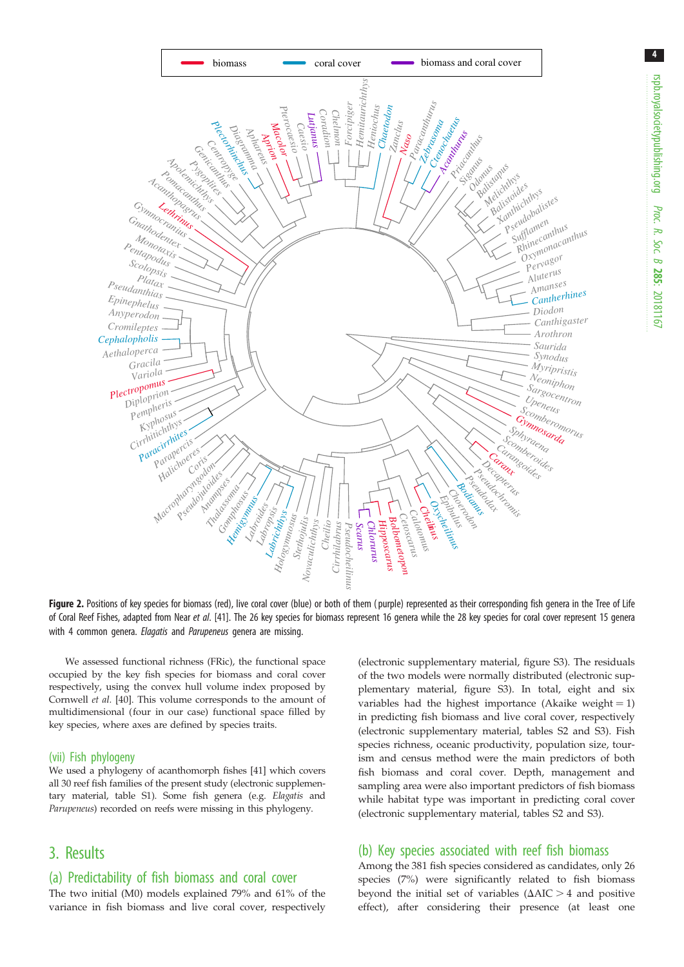<span id="page-3-0"></span>

Figure 2. Positions of key species for biomass (red), live coral cover (blue) or both of them (purple) represented as their corresponding fish genera in the Tree of Life of Coral Reef Fishes, adapted from Near et al. [\[41\]](#page-8-0). The 26 key species for biomass represent 16 genera while the 28 key species for coral cover represent 15 genera with 4 common genera. *Elagatis* and *Parupeneus* genera are missing.

We assessed functional richness (FRic), the functional space occupied by the key fish species for biomass and coral cover respectively, using the convex hull volume index proposed by Cornwell et al. [\[40\]](#page-8-0). This volume corresponds to the amount of multidimensional (four in our case) functional space filled by key species, where axes are defined by species traits.

### (vii) Fish phylogeny

We used a phylogeny of acanthomorph fishes [[41\]](#page-8-0) which covers all 30 reef fish families of the present study (electronic supplementary material, table S1). Some fish genera (e.g. Elagatis and Parupeneus) recorded on reefs were missing in this phylogeny.

## 3. Results

### (a) Predictability of fish biomass and coral cover

The two initial (M0) models explained 79% and 61% of the variance in fish biomass and live coral cover, respectively (electronic supplementary material, figure S3). The residuals of the two models were normally distributed (electronic supplementary material, figure S3). In total, eight and six variables had the highest importance (Akaike weight  $= 1$ ) in predicting fish biomass and live coral cover, respectively (electronic supplementary material, tables S2 and S3). Fish species richness, oceanic productivity, population size, tourism and census method were the main predictors of both fish biomass and coral cover. Depth, management and sampling area were also important predictors of fish biomass while habitat type was important in predicting coral cover (electronic supplementary material, tables S2 and S3).

### (b) Key species associated with reef fish biomass

Among the 381 fish species considered as candidates, only 26 species (7%) were significantly related to fish biomass beyond the initial set of variables  $(\Delta AIC > 4$  and positive effect), after considering their presence (at least one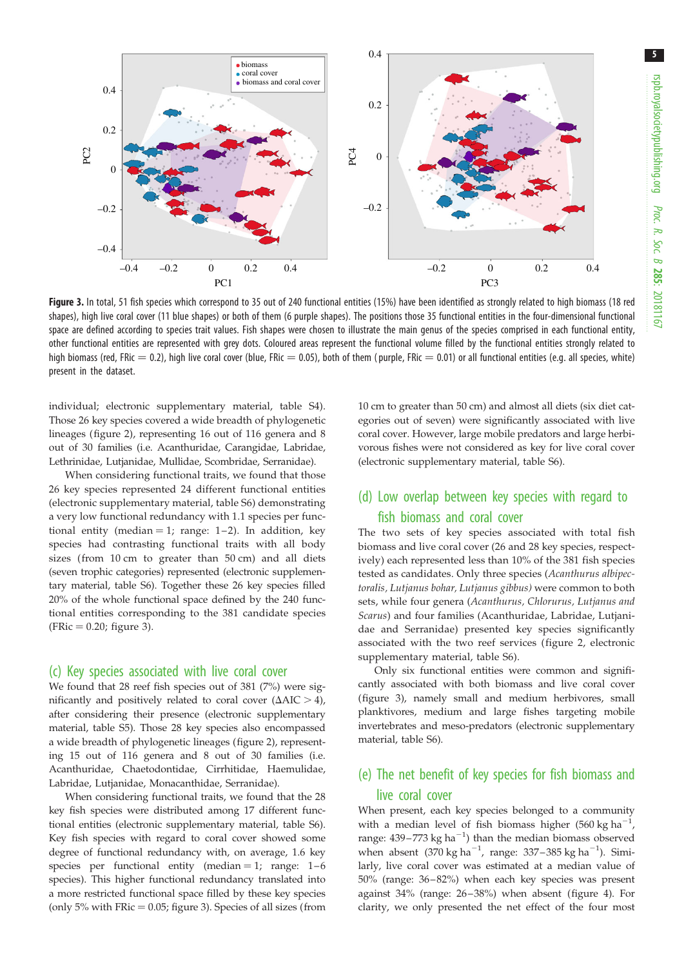<span id="page-4-0"></span>

Figure 3. In total, 51 fish species which correspond to 35 out of 240 functional entities (15%) have been identified as strongly related to high biomass (18 red shapes), high live coral cover (11 blue shapes) or both of them (6 purple shapes). The positions those 35 functional entities in the four-dimensional functional space are defined according to species trait values. Fish shapes were chosen to illustrate the main genus of the species comprised in each functional entity, other functional entities are represented with grey dots. Coloured areas represent the functional volume filled by the functional entities strongly related to high biomass (red, FRic = 0.2), high live coral cover (blue, FRic = 0.05), both of them (purple, FRic = 0.01) or all functional entities (e.g. all species, white) present in the dataset.

individual; electronic supplementary material, table S4). Those 26 key species covered a wide breadth of phylogenetic lineages ([figure 2\)](#page-3-0), representing 16 out of 116 genera and 8 out of 30 families (i.e. Acanthuridae, Carangidae, Labridae, Lethrinidae, Lutjanidae, Mullidae, Scombridae, Serranidae).

When considering functional traits, we found that those 26 key species represented 24 different functional entities (electronic supplementary material, table S6) demonstrating a very low functional redundancy with 1.1 species per functional entity (median  $= 1$ ; range: 1-2). In addition, key species had contrasting functional traits with all body sizes (from 10 cm to greater than 50 cm) and all diets (seven trophic categories) represented (electronic supplementary material, table S6). Together these 26 key species filled 20% of the whole functional space defined by the 240 functional entities corresponding to the 381 candidate species  $(FRic = 0.20;$  figure 3).

### (c) Key species associated with live coral cover

We found that 28 reef fish species out of 381 (7%) were significantly and positively related to coral cover  $(\Delta AIC > 4)$ , after considering their presence (electronic supplementary material, table S5). Those 28 key species also encompassed a wide breadth of phylogenetic lineages ([figure 2\)](#page-3-0), representing 15 out of 116 genera and 8 out of 30 families (i.e. Acanthuridae, Chaetodontidae, Cirrhitidae, Haemulidae, Labridae, Lutjanidae, Monacanthidae, Serranidae).

When considering functional traits, we found that the 28 key fish species were distributed among 17 different functional entities (electronic supplementary material, table S6). Key fish species with regard to coral cover showed some degree of functional redundancy with, on average, 1.6 key species per functional entity (median  $= 1$ ; range:  $1-6$ species). This higher functional redundancy translated into a more restricted functional space filled by these key species (only 5% with  $FRic = 0.05$ ; figure 3). Species of all sizes (from 10 cm to greater than 50 cm) and almost all diets (six diet categories out of seven) were significantly associated with live coral cover. However, large mobile predators and large herbivorous fishes were not considered as key for live coral cover (electronic supplementary material, table S6).

# (d) Low overlap between key species with regard to fish biomass and coral cover

The two sets of key species associated with total fish biomass and live coral cover (26 and 28 key species, respectively) each represented less than 10% of the 381 fish species tested as candidates. Only three species (Acanthurus albipectoralis, Lutjanus bohar, Lutjanus gibbus) were common to both sets, while four genera (Acanthurus, Chlorurus, Lutjanus and Scarus) and four families (Acanthuridae, Labridae, Lutjanidae and Serranidae) presented key species significantly associated with the two reef services (figure 2, electronic supplementary material, table S6).

Only six functional entities were common and significantly associated with both biomass and live coral cover (figure 3), namely small and medium herbivores, small planktivores, medium and large fishes targeting mobile invertebrates and meso-predators (electronic supplementary material, table S6).

# (e) The net benefit of key species for fish biomass and live coral cover

When present, each key species belonged to a community with a median level of fish biomass higher  $(560 \text{ kg ha}^{-1})$ , range:  $439 - 773$  kg ha<sup>-1</sup>) than the median biomass observed when absent  $(370 \text{ kg ha}^{-1})$ , range:  $337-385 \text{ kg ha}^{-1}$ ). Similarly, live coral cover was estimated at a median value of 50% (range: 36–82%) when each key species was present against 34% (range: 26 –38%) when absent ([figure 4\)](#page-5-0). For clarity, we only presented the net effect of the four most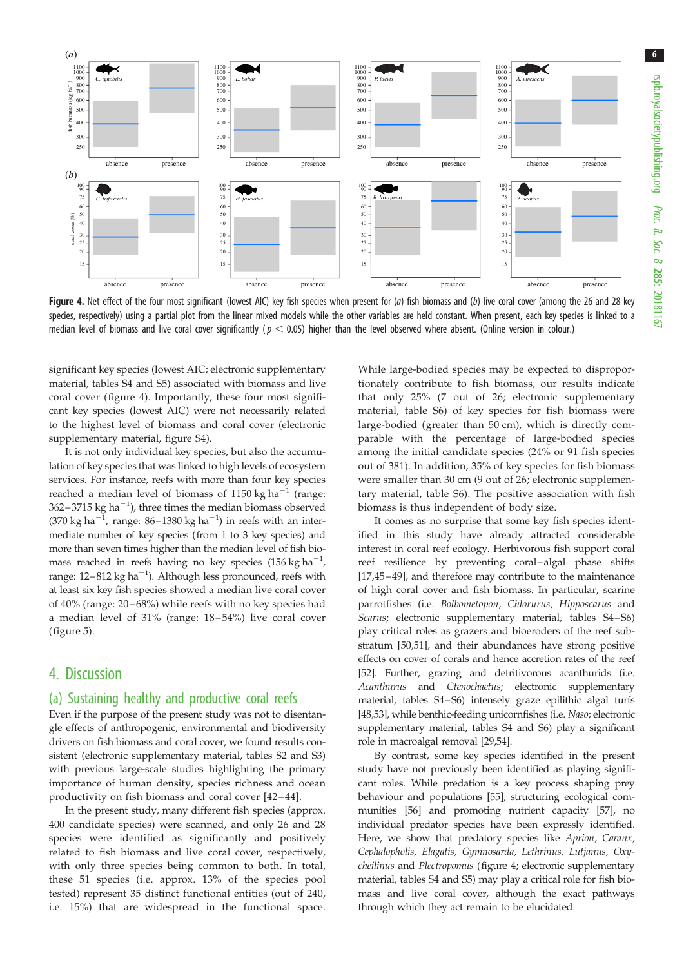<span id="page-5-0"></span>

Figure 4. Net effect of the four most significant (lowest AIC) key fish species when present for  $(a)$  fish biomass and  $(b)$  live coral cover (among the 26 and 28 key species, respectively) using a partial plot from the linear mixed models while the other variables are held constant. When present, each key species is linked to a median level of biomass and live coral cover significantly ( $p < 0.05$ ) higher than the level observed where absent. (Online version in colour.)

significant key species (lowest AIC; electronic supplementary material, tables S4 and S5) associated with biomass and live coral cover (figure 4). Importantly, these four most significant key species (lowest AIC) were not necessarily related to the highest level of biomass and coral cover (electronic supplementary material, figure S4).

It is not only individual key species, but also the accumulation of key species that was linked to high levels of ecosystem services. For instance, reefs with more than four key species reached a median level of biomass of 1150 kg ha<sup>-1</sup> (range: 362–3715  $\text{kg}$  ha $^{-1}$ ), three times the median biomass observed (370 kg ha<sup>-1</sup>, range: 86-1380 kg ha<sup>-1</sup>) in reefs with an intermediate number of key species (from 1 to 3 key species) and more than seven times higher than the median level of fish biomass reached in reefs having no key species  $(156 \text{ kg ha}^{-1})$ range: 12–812 kg ha $^{-1}$ ). Although less pronounced, reefs with at least six key fish species showed a median live coral cover of 40% (range: 20–68%) while reefs with no key species had a median level of 31% (range: 18 – 54%) live coral cover ( [figure 5](#page-6-0)).

## 4. Discussion

### (a) Sustaining healthy and productive coral reefs

Even if the purpose of the present study was not to disentangle effects of anthropogenic, environmental and biodiversity drivers on fish biomass and coral cover, we found results consistent (electronic supplementary material, tables S2 and S3) with previous large-scale studies highlighting the primary importance of human density, species richness and ocean productivity on fish biomass and coral cover [\[42](#page-8-0)-44].

In the present study, many different fish species (approx. 400 candidate species) were scanned, and only 26 and 28 species were identified as significantly and positively related to fish biomass and live coral cover, respectively, with only three species being common to both. In total, these 51 species (i.e. approx. 13% of the species pool tested) represent 35 distinct functional entities (out of 240, i.e. 15%) that are widespread in the functional space.

While large-bodied species may be expected to disproportionately contribute to fish biomass, our results indicate that only 25% (7 out of 26; electronic supplementary material, table S6) of key species for fish biomass were large-bodied (greater than 50 cm), which is directly comparable with the percentage of large-bodied species among the initial candidate species (24% or 91 fish species out of 381). In addition, 35% of key species for fish biomass were smaller than 30 cm (9 out of 26; electronic supplementary material, table S6). The positive association with fish biomass is thus independent of body size.

It comes as no surprise that some key fish species identified in this study have already attracted considerable interest in coral reef ecology. Herbivorous fish support coral reef resilience by preventing coral –algal phase shifts [[17,](#page-7-0)[45](#page-8-0) –[49](#page-8-0)], and therefore may contribute to the maintenance of high coral cover and fish biomass. In particular, scarine parrotfishes (i.e. Bolbometopon, Chlorurus, Hipposcarus and Scarus; electronic supplementary material, tables S4-S6) play critical roles as grazers and bioeroders of the reef substratum [\[50,51](#page-8-0)], and their abundances have strong positive effects on cover of corals and hence accretion rates of the reef [[52](#page-8-0)]. Further, grazing and detritivorous acanthurids (i.e. Acanthurus and Ctenochaetus; electronic supplementary material, tables S4–S6) intensely graze epilithic algal turfs [[48,53](#page-8-0)], while benthic-feeding unicornfishes (i.e. Naso; electronic supplementary material, tables S4 and S6) play a significant role in macroalgal removal [\[29,54](#page-8-0)].

By contrast, some key species identified in the present study have not previously been identified as playing significant roles. While predation is a key process shaping prey behaviour and populations [[55\]](#page-8-0), structuring ecological communities [\[56\]](#page-8-0) and promoting nutrient capacity [\[57](#page-8-0)], no individual predator species have been expressly identified. Here, we show that predatory species like Aprion, Caranx, Cephalopholis, Elagatis, Gymnosarda, Lethrinus, Lutjanus, Oxycheilinus and Plectropomus (figure 4; electronic supplementary material, tables S4 and S5) may play a critical role for fish biomass and live coral cover, although the exact pathways through which they act remain to be elucidated.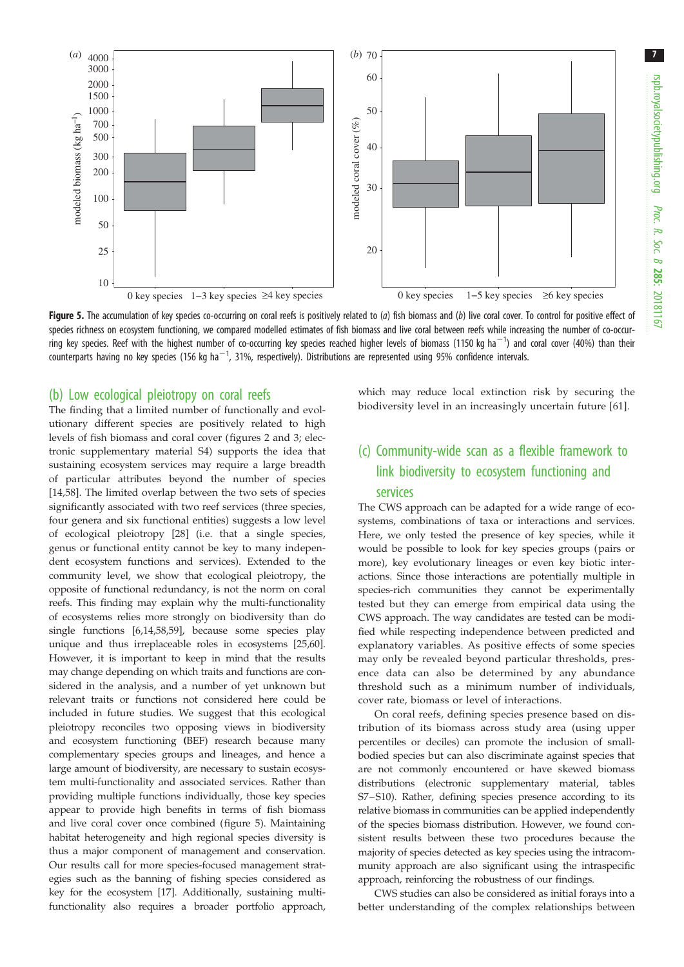<span id="page-6-0"></span>

Figure 5. The accumulation of key species co-occurring on coral reefs is positively related to  $(a)$  fish biomass and  $(b)$  live coral cover. To control for positive effect of species richness on ecosystem functioning, we compared modelled estimates of fish biomass and live coral between reefs while increasing the number of co-occurring key species. Reef with the highest number of co-occurring key species reached higher levels of biomass (1150 kg ha $^{-1}$ ) and coral cover (40%) than their counterparts having no key species (156 kg ha $^{-1}$ , 31%, respectively). Distributions are represented using 95% confidence intervals.

### (b) Low ecological pleiotropy on coral reefs

The finding that a limited number of functionally and evolutionary different species are positively related to high levels of fish biomass and coral cover ( figures [2](#page-3-0) and [3](#page-4-0); electronic supplementary material S4) supports the idea that sustaining ecosystem services may require a large breadth of particular attributes beyond the number of species [\[14,](#page-7-0)[58\]](#page-8-0). The limited overlap between the two sets of species significantly associated with two reef services (three species, four genera and six functional entities) suggests a low level of ecological pleiotropy [[28\]](#page-8-0) (i.e. that a single species, genus or functional entity cannot be key to many independent ecosystem functions and services). Extended to the community level, we show that ecological pleiotropy, the opposite of functional redundancy, is not the norm on coral reefs. This finding may explain why the multi-functionality of ecosystems relies more strongly on biodiversity than do single functions [[6](#page-7-0),[14,](#page-7-0)[58,59\]](#page-8-0), because some species play unique and thus irreplaceable roles in ecosystems [\[25,60](#page-8-0)]. However, it is important to keep in mind that the results may change depending on which traits and functions are considered in the analysis, and a number of yet unknown but relevant traits or functions not considered here could be included in future studies. We suggest that this ecological pleiotropy reconciles two opposing views in biodiversity and ecosystem functioning (BEF) research because many complementary species groups and lineages, and hence a large amount of biodiversity, are necessary to sustain ecosystem multi-functionality and associated services. Rather than providing multiple functions individually, those key species appear to provide high benefits in terms of fish biomass and live coral cover once combined (figure 5). Maintaining habitat heterogeneity and high regional species diversity is thus a major component of management and conservation. Our results call for more species-focused management strategies such as the banning of fishing species considered as key for the ecosystem [\[17](#page-7-0)]. Additionally, sustaining multifunctionality also requires a broader portfolio approach, which may reduce local extinction risk by securing the biodiversity level in an increasingly uncertain future [[61\]](#page-8-0).

# (c) Community-wide scan as a flexible framework to link biodiversity to ecosystem functioning and services

The CWS approach can be adapted for a wide range of ecosystems, combinations of taxa or interactions and services. Here, we only tested the presence of key species, while it would be possible to look for key species groups (pairs or more), key evolutionary lineages or even key biotic interactions. Since those interactions are potentially multiple in species-rich communities they cannot be experimentally tested but they can emerge from empirical data using the CWS approach. The way candidates are tested can be modified while respecting independence between predicted and explanatory variables. As positive effects of some species may only be revealed beyond particular thresholds, presence data can also be determined by any abundance threshold such as a minimum number of individuals, cover rate, biomass or level of interactions.

On coral reefs, defining species presence based on distribution of its biomass across study area (using upper percentiles or deciles) can promote the inclusion of smallbodied species but can also discriminate against species that are not commonly encountered or have skewed biomass distributions (electronic supplementary material, tables S7–S10). Rather, defining species presence according to its relative biomass in communities can be applied independently of the species biomass distribution. However, we found consistent results between these two procedures because the majority of species detected as key species using the intracommunity approach are also significant using the intraspecific approach, reinforcing the robustness of our findings.

CWS studies can also be considered as initial forays into a better understanding of the complex relationships between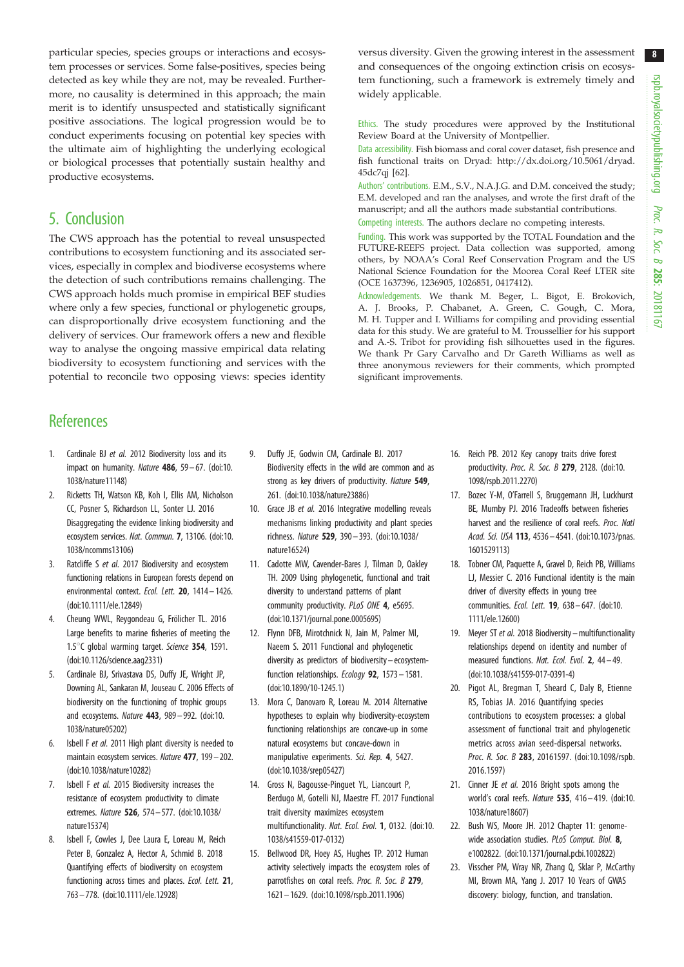<span id="page-7-0"></span>particular species, species groups or interactions and ecosystem processes or services. Some false-positives, species being detected as key while they are not, may be revealed. Furthermore, no causality is determined in this approach; the main merit is to identify unsuspected and statistically significant positive associations. The logical progression would be to conduct experiments focusing on potential key species with the ultimate aim of highlighting the underlying ecological or biological processes that potentially sustain healthy and productive ecosystems.

# 5. Conclusion

The CWS approach has the potential to reveal unsuspected contributions to ecosystem functioning and its associated services, especially in complex and biodiverse ecosystems where the detection of such contributions remains challenging. The CWS approach holds much promise in empirical BEF studies where only a few species, functional or phylogenetic groups, can disproportionally drive ecosystem functioning and the delivery of services. Our framework offers a new and flexible way to analyse the ongoing massive empirical data relating biodiversity to ecosystem functioning and services with the potential to reconcile two opposing views: species identity versus diversity. Given the growing interest in the assessment and consequences of the ongoing extinction crisis on ecosystem functioning, such a framework is extremely timely and widely applicable.

Ethics. The study procedures were approved by the Institutional Review Board at the University of Montpellier.

Data accessibility. Fish biomass and coral cover dataset, fish presence and fish functional traits on Dryad: [http://dx.doi.org/10.5061/dryad.](http://dx.doi.org/10.5061/dryad.45dc7qj) [45dc7qj](http://dx.doi.org/10.5061/dryad.45dc7qj) [\[62](#page-8-0)].

Authors' contributions. E.M., S.V., N.A.J.G. and D.M. conceived the study; E.M. developed and ran the analyses, and wrote the first draft of the manuscript; and all the authors made substantial contributions. Competing interests. The authors declare no competing interests.

Funding. This work was supported by the TOTAL Foundation and the FUTURE-REEFS project. Data collection was supported, among others, by NOAA's Coral Reef Conservation Program and the US National Science Foundation for the Moorea Coral Reef LTER site (OCE 1637396, 1236905, 1026851, 0417412).

Acknowledgements. We thank M. Beger, L. Bigot, E. Brokovich, A. J. Brooks, P. Chabanet, A. Green, C. Gough, C. Mora, M. H. Tupper and I. Williams for compiling and providing essential data for this study. We are grateful to M. Troussellier for his support and A.-S. Tribot for providing fish silhouettes used in the figures. We thank Pr Gary Carvalho and Dr Gareth Williams as well as three anonymous reviewers for their comments, which prompted significant improvements.

# **References**

- 1. Cardinale BJ et al. 2012 Biodiversity loss and its impact on humanity. Nature  $486$ ,  $59 - 67$ . ([doi:10.](http://dx.doi.org/10.1038/nature11148) [1038/nature11148](http://dx.doi.org/10.1038/nature11148))
- 2. Ricketts TH, Watson KB, Koh I, Ellis AM, Nicholson CC, Posner S, Richardson LL, Sonter LJ. 2016 Disaggregating the evidence linking biodiversity and ecosystem services. Nat. Commun. 7, 13106. ([doi:10.](http://dx.doi.org/10.1038/ncomms13106) [1038/ncomms13106](http://dx.doi.org/10.1038/ncomms13106))
- Ratcliffe S et al. 2017 Biodiversity and ecosystem functioning relations in European forests depend on environmental context. Ecol. Lett. 20, 1414-1426. [\(doi:10.1111/ele.12849\)](http://dx.doi.org/10.1111/ele.12849)
- 4. Cheung WWL, Reygondeau G, Frölicher TL. 2016 Large benefits to marine fisheries of meeting the 1.5°C global warming target. Science 354, 1591. [\(doi:10.1126/science.aag2331](http://dx.doi.org/10.1126/science.aag2331))
- 5. Cardinale BJ, Srivastava DS, Duffy JE, Wright JP, Downing AL, Sankaran M, Jouseau C. 2006 Effects of biodiversity on the functioning of trophic groups and ecosystems. Nature 443, 989 – 992. ([doi:10.](http://dx.doi.org/10.1038/nature05202) [1038/nature05202](http://dx.doi.org/10.1038/nature05202))
- 6. Isbell F et al. 2011 High plant diversity is needed to maintain ecosystem services. Nature 477, 199– 202. [\(doi:10.1038/nature10282](http://dx.doi.org/10.1038/nature10282))
- 7. Isbell F et al. 2015 Biodiversity increases the resistance of ecosystem productivity to climate extremes. Nature 526, 574– 577. ([doi:10.1038/](http://dx.doi.org/10.1038/nature15374) [nature15374](http://dx.doi.org/10.1038/nature15374))
- 8. Isbell F, Cowles J, Dee Laura E, Loreau M, Reich Peter B, Gonzalez A, Hector A, Schmid B. 2018 Quantifying effects of biodiversity on ecosystem functioning across times and places. Ecol. Lett. 21, 763– 778. ([doi:10.1111/ele.12928\)](http://dx.doi.org/10.1111/ele.12928)
- 9. Duffy JE, Godwin CM, Cardinale BJ. 2017 Biodiversity effects in the wild are common and as strong as key drivers of productivity. Nature 549, 261. ([doi:10.1038/nature23886\)](http://dx.doi.org/10.1038/nature23886)
- 10. Grace JB et al. 2016 Integrative modelling reveals mechanisms linking productivity and plant species richness. Nature 529, 390– 393. ([doi:10.1038/](http://dx.doi.org/10.1038/nature16524) [nature16524](http://dx.doi.org/10.1038/nature16524))
- 11. Cadotte MW, Cavender-Bares J, Tilman D, Oakley TH. 2009 Using phylogenetic, functional and trait diversity to understand patterns of plant community productivity. PLoS ONE 4, e5695. [\(doi:10.1371/journal.pone.0005695\)](http://dx.doi.org/10.1371/journal.pone.0005695)
- 12. Flynn DFB, Mirotchnick N, Jain M, Palmer MI, Naeem S. 2011 Functional and phylogenetic diversity as predictors of biodiversity – ecosystemfunction relationships. Ecology 92, 1573-1581. [\(doi:10.1890/10-1245.1](http://dx.doi.org/10.1890/10-1245.1))
- 13. Mora C, Danovaro R, Loreau M. 2014 Alternative hypotheses to explain why biodiversity-ecosystem functioning relationships are concave-up in some natural ecosystems but concave-down in manipulative experiments. Sci. Rep. 4, 5427. [\(doi:10.1038/srep05427\)](http://dx.doi.org/10.1038/srep05427)
- 14. Gross N, Bagousse-Pinguet YL, Liancourt P, Berdugo M, Gotelli NJ, Maestre FT. 2017 Functional trait diversity maximizes ecosystem multifunctionality. Nat. Ecol. Evol. 1, 0132. [\(doi:10.](http://dx.doi.org/10.1038/s41559-017-0132) [1038/s41559-017-0132\)](http://dx.doi.org/10.1038/s41559-017-0132)
- 15. Bellwood DR, Hoey AS, Hughes TP. 2012 Human activity selectively impacts the ecosystem roles of parrotfishes on coral reefs. Proc. R. Soc. B 279, 1621– 1629. [\(doi:10.1098/rspb.2011.1906\)](http://dx.doi.org/10.1098/rspb.2011.1906)
- 16. Reich PB. 2012 Key canopy traits drive forest productivity. Proc. R. Soc. B 279, 2128. [\(doi:10.](http://dx.doi.org/10.1098/rspb.2011.2270) [1098/rspb.2011.2270\)](http://dx.doi.org/10.1098/rspb.2011.2270)
- 17. Bozec Y-M, O'Farrell S, Bruggemann JH, Luckhurst BE, Mumby PJ. 2016 Tradeoffs between fisheries harvest and the resilience of coral reefs. Proc. Natl Acad. Sci. USA 113, 4536 – 4541. ([doi:10.1073/pnas.](http://dx.doi.org/10.1073/pnas.1601529113) [1601529113](http://dx.doi.org/10.1073/pnas.1601529113))
- 18. Tobner CM, Paquette A, Gravel D, Reich PB, Williams LJ, Messier C. 2016 Functional identity is the main driver of diversity effects in young tree communities. Ecol. Lett. 19, 638– 647. [\(doi:10.](http://dx.doi.org/10.1111/ele.12600) [1111/ele.12600](http://dx.doi.org/10.1111/ele.12600))
- 19. Meyer ST et al. 2018 Biodiversity multifunctionality relationships depend on identity and number of measured functions. Nat. Ecol. Evol. 2, 44 – 49. ([doi:10.1038/s41559-017-0391-4](http://dx.doi.org/10.1038/s41559-017-0391-4))
- 20. Pigot AL, Bregman T, Sheard C, Daly B, Etienne RS, Tobias JA. 2016 Quantifying species contributions to ecosystem processes: a global assessment of functional trait and phylogenetic metrics across avian seed-dispersal networks. Proc. R. Soc. B 283, 20161597. ([doi:10.1098/rspb.](http://dx.doi.org/10.1098/rspb.2016.1597) [2016.1597\)](http://dx.doi.org/10.1098/rspb.2016.1597)
- 21. Cinner JE et al. 2016 Bright spots among the world's coral reefs. Nature 535, 416 – 419. [\(doi:10.](http://dx.doi.org/10.1038/nature18607) [1038/nature18607](http://dx.doi.org/10.1038/nature18607))
- 22. Bush WS, Moore JH. 2012 Chapter 11: genomewide association studies. PLoS Comput. Biol. 8, e1002822. [\(doi:10.1371/journal.pcbi.1002822\)](http://dx.doi.org/10.1371/journal.pcbi.1002822)
- 23. Visscher PM, Wray NR, Zhang Q, Sklar P, McCarthy MI, Brown MA, Yang J. 2017 10 Years of GWAS discovery: biology, function, and translation.